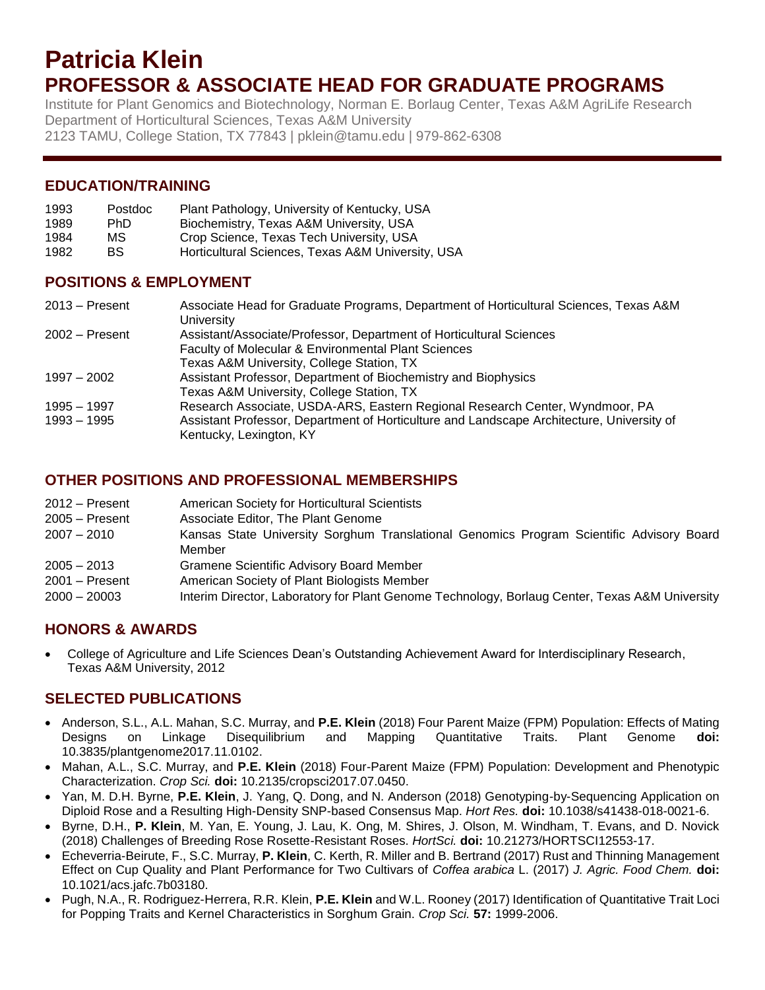# **Patricia Klein PROFESSOR & ASSOCIATE HEAD FOR GRADUATE PROGRAMS**

Institute for Plant Genomics and Biotechnology, Norman E. Borlaug Center, Texas A&M AgriLife Research Department of Horticultural Sciences, Texas A&M University 2123 TAMU, College Station, TX 77843 | pklein@tamu.edu | 979-862-6308

### **EDUCATION/TRAINING**

| 1993 | Postdoc | Plant Pathology, University of Kentucky, USA      |
|------|---------|---------------------------------------------------|
| 1989 | PhD.    | Biochemistry, Texas A&M University, USA           |
| 1984 | MS.     | Crop Science, Texas Tech University, USA          |
| 1982 | BS.     | Horticultural Sciences, Texas A&M University, USA |

#### **POSITIONS & EMPLOYMENT**

| $2013 -$ Present             | Associate Head for Graduate Programs, Department of Horticultural Sciences, Texas A&M<br>University                                                                                                  |
|------------------------------|------------------------------------------------------------------------------------------------------------------------------------------------------------------------------------------------------|
| $2002 -$ Present             | Assistant/Associate/Professor, Department of Horticultural Sciences<br><b>Faculty of Molecular &amp; Environmental Plant Sciences</b><br>Texas A&M University, College Station, TX                   |
| $1997 - 2002$                | Assistant Professor, Department of Biochemistry and Biophysics<br>Texas A&M University, College Station, TX                                                                                          |
| 1995 – 1997<br>$1993 - 1995$ | Research Associate, USDA-ARS, Eastern Regional Research Center, Wyndmoor, PA<br>Assistant Professor, Department of Horticulture and Landscape Architecture, University of<br>Kentucky, Lexington, KY |

#### **OTHER POSITIONS AND PROFESSIONAL MEMBERSHIPS**

| 2012 – Present   | <b>American Society for Horticultural Scientists</b>                                           |
|------------------|------------------------------------------------------------------------------------------------|
| $2005 -$ Present | Associate Editor, The Plant Genome                                                             |
| $2007 - 2010$    | Kansas State University Sorghum Translational Genomics Program Scientific Advisory Board       |
|                  | Member                                                                                         |
| $2005 - 2013$    | <b>Gramene Scientific Advisory Board Member</b>                                                |
| $2001 -$ Present | American Society of Plant Biologists Member                                                    |
| $2000 - 20003$   | Interim Director, Laboratory for Plant Genome Technology, Borlaug Center, Texas A&M University |

## **HONORS & AWARDS**

 College of Agriculture and Life Sciences Dean's Outstanding Achievement Award for Interdisciplinary Research, Texas A&M University, 2012

## **SELECTED PUBLICATIONS**

- Anderson, S.L., A.L. Mahan, S.C. Murray, and **P.E. Klein** (2018) Four Parent Maize (FPM) Population: Effects of Mating Designs on Linkage Disequilibrium and Mapping Quantitative Traits. Plant Genome **doi:** 10.3835/plantgenome2017.11.0102.
- Mahan, A.L., S.C. Murray, and **P.E. Klein** (2018) Four-Parent Maize (FPM) Population: Development and Phenotypic Characterization. *Crop Sci.* **doi:** 10.2135/cropsci2017.07.0450.
- Yan, M. D.H. Byrne, **P.E. Klein**, J. Yang, Q. Dong, and N. Anderson (2018) Genotyping-by-Sequencing Application on Diploid Rose and a Resulting High-Density SNP-based Consensus Map. *Hort Res.* **doi:** 10.1038/s41438-018-0021-6.
- Byrne, D.H., **P. Klein**, M. Yan, E. Young, J. Lau, K. Ong, M. Shires, J. Olson, M. Windham, T. Evans, and D. Novick (2018) Challenges of Breeding Rose Rosette-Resistant Roses. *HortSci.* **doi:** 10.21273/HORTSCI12553-17.
- Echeverria-Beirute, F., S.C. Murray, **P. Klein**, C. Kerth, R. Miller and B. Bertrand (2017) Rust and Thinning Management Effect on Cup Quality and Plant Performance for Two Cultivars of *Coffea arabica* L. (2017) *J. Agric. Food Chem.* **doi:**  10.1021/acs.jafc.7b03180.
- Pugh, N.A., R. Rodriguez-Herrera, R.R. Klein, **P.E. Klein** and W.L. Rooney (2017) Identification of Quantitative Trait Loci for Popping Traits and Kernel Characteristics in Sorghum Grain. *Crop Sci.* **57:** 1999-2006.